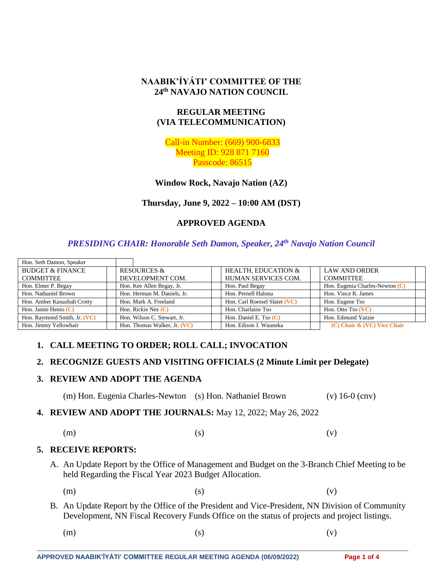## **NAABIK'ÍYÁTI' COMMITTEE OF THE 24th NAVAJO NATION COUNCIL**

# **REGULAR MEETING (VIA TELECOMMUNICATION)**

Call-in Number: (669) 900-6833 Meeting ID: 928 871 7160 Passcode: 86515

**Window Rock, Navajo Nation (AZ)**

**Thursday, June 9, 2022 – 10:00 AM (DST)**

# **APPROVED AGENDA**

## *PRESIDING CHAIR: Honorable Seth Damon, Speaker, 24th Navajo Nation Council*

| Hon. Seth Damon, Speaker     |                              |                                |                                   |  |
|------------------------------|------------------------------|--------------------------------|-----------------------------------|--|
| <b>BUDGET &amp; FINANCE</b>  | <b>RESOURCES &amp;</b>       | <b>HEALTH. EDUCATION &amp;</b> | <b>LAW AND ORDER</b>              |  |
| <b>COMMITTEE</b>             | DEVELOPMENT COM.             | HUMAN SERVICES COM.            | <b>COMMITTEE</b>                  |  |
| Hon. Elmer P. Begay          | Hon. Kee Allen Begay, Jr.    | Hon. Paul Begay                | Hon. Eugenia Charles-Newton $(C)$ |  |
| Hon. Nathaniel Brown         | Hon. Herman M. Daniels, Jr.  | Hon. Pernell Halona            | Hon. Vince R. James               |  |
| Hon. Amber Kanazbah Crotty   | Hon. Mark A. Freeland        | Hon. Carl Roessel Slater (VC)  | Hon. Eugene Tso                   |  |
| Hon. Jamie Henio $(C)$       | Hon. Rickie Nez $(C)$        | Hon. Charlaine Tso             | Hon. Otto Tso (VC)                |  |
| Hon. Raymond Smith, Jr. (VC) | Hon. Wilson C. Stewart, Jr.  | Hon. Daniel E. Tso $(C)$       | Hon. Edmund Yazzie                |  |
| Hon. Jimmy Yellowhair        | Hon. Thomas Walker, Jr. (VC) | Hon. Edison J. Wauneka         | $(C)$ Chair & $(VC)$ Vice Chair   |  |

## **1. CALL MEETING TO ORDER; ROLL CALL; INVOCATION**

## **2. RECOGNIZE GUESTS AND VISITING OFFICIALS (2 Minute Limit per Delegate)**

#### **3. REVIEW AND ADOPT THE AGENDA**

(m) Hon. Eugenia Charles-Newton (s) Hon. Nathaniel Brown (v) 16-0 (cnv)

**4. REVIEW AND ADOPT THE JOURNALS:** May 12, 2022; May 26, 2022

$$
\text{(m)}\qquad \qquad \text{(s)}\qquad \qquad \text{(v)}
$$

#### **5. RECEIVE REPORTS:**

A. An Update Report by the Office of Management and Budget on the 3-Branch Chief Meeting to be held Regarding the Fiscal Year 2023 Budget Allocation.

(m)  $(s)$  (c)

- B. An Update Report by the Office of the President and Vice-President, NN Division of Community Development, NN Fiscal Recovery Funds Office on the status of projects and project listings.
- (m)  $(s)$  (c)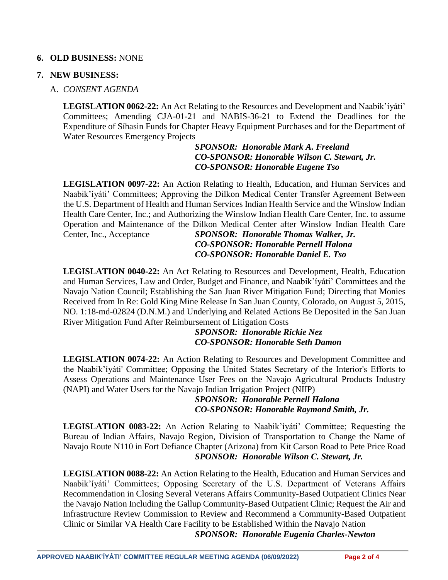## **6. OLD BUSINESS:** NONE

### **7. NEW BUSINESS:**

## A. *CONSENT AGENDA*

**LEGISLATION 0062-22:** An Act Relating to the Resources and Development and Naabik'íyáti' Committees; Amending CJA-01-21 and NABIS-36-21 to Extend the Deadlines for the Expenditure of Síhasin Funds for Chapter Heavy Equipment Purchases and for the Department of Water Resources Emergency Projects

#### *SPONSOR: Honorable Mark A. Freeland CO-SPONSOR: Honorable Wilson C. Stewart, Jr. CO-SPONSOR: Honorable Eugene Tso*

**LEGISLATION 0097-22:** An Action Relating to Health, Education, and Human Services and Naabik'íyáti' Committees; Approving the Dilkon Medical Center Transfer Agreement Between the U.S. Department of Health and Human Services Indian Health Service and the Winslow Indian Health Care Center, Inc.; and Authorizing the Winslow Indian Health Care Center, Inc. to assume Operation and Maintenance of the Dilkon Medical Center after Winslow Indian Health Care Center, Inc., Acceptance *SPONSOR: Honorable Thomas Walker, Jr.*

# *CO-SPONSOR: Honorable Pernell Halona CO-SPONSOR: Honorable Daniel E. Tso*

**LEGISLATION 0040-22:** An Act Relating to Resources and Development, Health, Education and Human Services, Law and Order, Budget and Finance, and Naabik'íyáti' Committees and the Navajo Nation Council; Establishing the San Juan River Mitigation Fund; Directing that Monies Received from In Re: Gold King Mine Release In San Juan County, Colorado, on August 5, 2015, NO. 1:18-md-02824 (D.N.M.) and Underlying and Related Actions Be Deposited in the San Juan River Mitigation Fund After Reimbursement of Litigation Costs

#### *SPONSOR: Honorable Rickie Nez CO-SPONSOR: Honorable Seth Damon*

**LEGISLATION 0074-22:** An Action Relating to Resources and Development Committee and the Naabik'íyáti' Committee; Opposing the United States Secretary of the Interior's Efforts to Assess Operations and Maintenance User Fees on the Navajo Agricultural Products Industry (NAPI) and Water Users for the Navajo Indian Irrigation Project (NIIP)

## *SPONSOR: Honorable Pernell Halona CO-SPONSOR: Honorable Raymond Smith, Jr.*

**LEGISLATION 0083-22:** An Action Relating to Naabik'íyáti' Committee; Requesting the Bureau of Indian Affairs, Navajo Region, Division of Transportation to Change the Name of Navajo Route N110 in Fort Defiance Chapter (Arizona) from Kit Carson Road to Pete Price Road *SPONSOR: Honorable Wilson C. Stewart, Jr.*

**LEGISLATION 0088-22:** An Action Relating to the Health, Education and Human Services and Naabik'íyáti' Committees; Opposing Secretary of the U.S. Department of Veterans Affairs Recommendation in Closing Several Veterans Affairs Community-Based Outpatient Clinics Near the Navajo Nation Including the Gallup Community-Based Outpatient Clinic; Request the Air and Infrastructure Review Commission to Review and Recommend a Community-Based Outpatient Clinic or Similar VA Health Care Facility to be Established Within the Navajo Nation *SPONSOR: Honorable Eugenia Charles-Newton*

**APPROVED NAABIK'ÍYÁTI' COMMITTEE REGULAR MEETING AGENDA (06/09/2022) Page 2 of 4**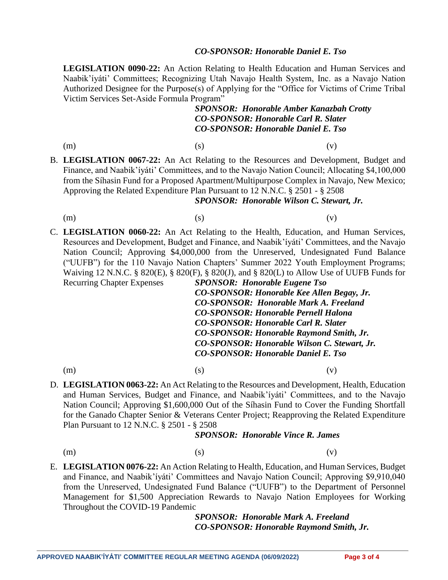#### *CO-SPONSOR: Honorable Daniel E. Tso*

**LEGISLATION 0090-22:** An Action Relating to Health Education and Human Services and Naabik'íyáti' Committees; Recognizing Utah Navajo Health System, Inc. as a Navajo Nation Authorized Designee for the Purpose(s) of Applying for the "Office for Victims of Crime Tribal Victim Services Set-Aside Formula Program"

# *SPONSOR: Honorable Amber Kanazbah Crotty CO-SPONSOR: Honorable Carl R. Slater CO-SPONSOR: Honorable Daniel E. Tso*

- (m)  $(s)$  (c)
- B. **LEGISLATION 0067-22:** An Act Relating to the Resources and Development, Budget and Finance, and Naabik'íyáti' Committees, and to the Navajo Nation Council; Allocating \$4,100,000 from the Síhasin Fund for a Proposed Apartment/Multipurpose Complex in Navajo, New Mexico; Approving the Related Expenditure Plan Pursuant to 12 N.N.C. § 2501 - § 2508

#### *SPONSOR: Honorable Wilson C. Stewart, Jr.*

- (m)  $(s)$  (c)
- 
- 
- C. **LEGISLATION 0060-22:** An Act Relating to the Health, Education, and Human Services, Resources and Development, Budget and Finance, and Naabik'íyáti' Committees, and the Navajo Nation Council; Approving \$4,000,000 from the Unreserved, Undesignated Fund Balance ("UUFB") for the 110 Navajo Nation Chapters' Summer 2022 Youth Employment Programs; Waiving 12 N.N.C. § 820(E), § 820(F), § 820(J), and § 820(L) to Allow Use of UUFB Funds for

Recurring Chapter Expenses *SPONSOR: Honorable Eugene Tso CO-SPONSOR: Honorable Kee Allen Begay, Jr. CO-SPONSOR: Honorable Mark A. Freeland CO-SPONSOR: Honorable Pernell Halona CO-SPONSOR: Honorable Carl R. Slater CO-SPONSOR: Honorable Raymond Smith, Jr. CO-SPONSOR: Honorable Wilson C. Stewart, Jr. CO-SPONSOR: Honorable Daniel E. Tso* (m)  $(s)$  (c)

D. **LEGISLATION 0063-22:** An Act Relating to the Resources and Development, Health, Education and Human Services, Budget and Finance, and Naabik'íyáti' Committees, and to the Navajo Nation Council; Approving \$1,600,000 Out of the Síhasin Fund to Cover the Funding Shortfall for the Ganado Chapter Senior & Veterans Center Project; Reapproving the Related Expenditure Plan Pursuant to 12 N.N.C. § 2501 - § 2508

#### *SPONSOR: Honorable Vince R. James*

(m)  $(s)$  (c)

E. **LEGISLATION 0076-22:** An Action Relating to Health, Education, and Human Services, Budget and Finance, and Naabik'íyáti' Committees and Navajo Nation Council; Approving \$9,910,040 from the Unreserved, Undesignated Fund Balance ("UUFB") to the Department of Personnel Management for \$1,500 Appreciation Rewards to Navajo Nation Employees for Working Throughout the COVID-19 Pandemic

> *SPONSOR: Honorable Mark A. Freeland CO-SPONSOR: Honorable Raymond Smith, Jr.*